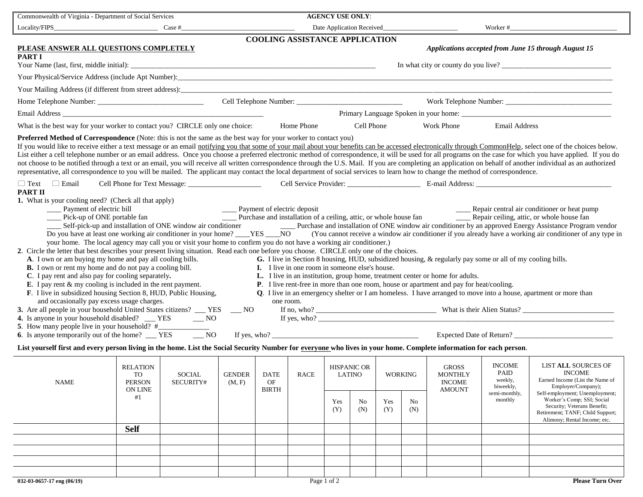| Commonwealth of Virginia - Department of Social Services                                                                                                                                                                                                                                                                                                                                                                                                                                                                                                                                                                                                                                                                                                                                                                                                                                                                                                                                                                                                                                                                                                                                                                                                                                                                                                                                                                                                                                                                                                                                                                                                                                                                                                                                                                                                                                                                                                                                                                                                                                                                                                                                                                                                                                                                                                                                                                                                                                                                                                                                                                                                                                                                                                                                                                                                                                                                |                                                         |                                                                                                                    | <b>AGENCY USE ONLY:</b> |                                                                                                              |             |                                     |                           |                |                       |                                                                  |                                                                |                                                                                                                                 |
|-------------------------------------------------------------------------------------------------------------------------------------------------------------------------------------------------------------------------------------------------------------------------------------------------------------------------------------------------------------------------------------------------------------------------------------------------------------------------------------------------------------------------------------------------------------------------------------------------------------------------------------------------------------------------------------------------------------------------------------------------------------------------------------------------------------------------------------------------------------------------------------------------------------------------------------------------------------------------------------------------------------------------------------------------------------------------------------------------------------------------------------------------------------------------------------------------------------------------------------------------------------------------------------------------------------------------------------------------------------------------------------------------------------------------------------------------------------------------------------------------------------------------------------------------------------------------------------------------------------------------------------------------------------------------------------------------------------------------------------------------------------------------------------------------------------------------------------------------------------------------------------------------------------------------------------------------------------------------------------------------------------------------------------------------------------------------------------------------------------------------------------------------------------------------------------------------------------------------------------------------------------------------------------------------------------------------------------------------------------------------------------------------------------------------------------------------------------------------------------------------------------------------------------------------------------------------------------------------------------------------------------------------------------------------------------------------------------------------------------------------------------------------------------------------------------------------------------------------------------------------------------------------------------------------|---------------------------------------------------------|--------------------------------------------------------------------------------------------------------------------|-------------------------|--------------------------------------------------------------------------------------------------------------|-------------|-------------------------------------|---------------------------|----------------|-----------------------|------------------------------------------------------------------|----------------------------------------------------------------|---------------------------------------------------------------------------------------------------------------------------------|
| Locality/FIPS<br>Case #                                                                                                                                                                                                                                                                                                                                                                                                                                                                                                                                                                                                                                                                                                                                                                                                                                                                                                                                                                                                                                                                                                                                                                                                                                                                                                                                                                                                                                                                                                                                                                                                                                                                                                                                                                                                                                                                                                                                                                                                                                                                                                                                                                                                                                                                                                                                                                                                                                                                                                                                                                                                                                                                                                                                                                                                                                                                                                 |                                                         |                                                                                                                    |                         |                                                                                                              |             |                                     | Date Application Received |                |                       | Worker#                                                          |                                                                |                                                                                                                                 |
| <b>COOLING ASSISTANCE APPLICATION</b>                                                                                                                                                                                                                                                                                                                                                                                                                                                                                                                                                                                                                                                                                                                                                                                                                                                                                                                                                                                                                                                                                                                                                                                                                                                                                                                                                                                                                                                                                                                                                                                                                                                                                                                                                                                                                                                                                                                                                                                                                                                                                                                                                                                                                                                                                                                                                                                                                                                                                                                                                                                                                                                                                                                                                                                                                                                                                   |                                                         |                                                                                                                    |                         |                                                                                                              |             |                                     |                           |                |                       |                                                                  |                                                                |                                                                                                                                 |
| PLEASE ANSWER ALL QUESTIONS COMPLETELY<br><b>PART I</b>                                                                                                                                                                                                                                                                                                                                                                                                                                                                                                                                                                                                                                                                                                                                                                                                                                                                                                                                                                                                                                                                                                                                                                                                                                                                                                                                                                                                                                                                                                                                                                                                                                                                                                                                                                                                                                                                                                                                                                                                                                                                                                                                                                                                                                                                                                                                                                                                                                                                                                                                                                                                                                                                                                                                                                                                                                                                 |                                                         |                                                                                                                    |                         |                                                                                                              |             |                                     |                           |                |                       |                                                                  |                                                                | <b>Applications accepted from June 15 through August 15</b>                                                                     |
| Your Name (last, first, middle initial):                                                                                                                                                                                                                                                                                                                                                                                                                                                                                                                                                                                                                                                                                                                                                                                                                                                                                                                                                                                                                                                                                                                                                                                                                                                                                                                                                                                                                                                                                                                                                                                                                                                                                                                                                                                                                                                                                                                                                                                                                                                                                                                                                                                                                                                                                                                                                                                                                                                                                                                                                                                                                                                                                                                                                                                                                                                                                |                                                         | <u>a sa barang di salah sahiji désa di salah sahiji désa di salah sahiji désa di salah sahiji désa di salah sa</u> |                         |                                                                                                              |             |                                     |                           |                |                       |                                                                  |                                                                |                                                                                                                                 |
|                                                                                                                                                                                                                                                                                                                                                                                                                                                                                                                                                                                                                                                                                                                                                                                                                                                                                                                                                                                                                                                                                                                                                                                                                                                                                                                                                                                                                                                                                                                                                                                                                                                                                                                                                                                                                                                                                                                                                                                                                                                                                                                                                                                                                                                                                                                                                                                                                                                                                                                                                                                                                                                                                                                                                                                                                                                                                                                         |                                                         |                                                                                                                    |                         |                                                                                                              |             |                                     |                           |                |                       |                                                                  |                                                                |                                                                                                                                 |
| Your Mailing Address (if different from street address):<br>1980 - Andreas Contract Address (if different from street address):<br>2001 - Andreas Contract Address (if different from street address):                                                                                                                                                                                                                                                                                                                                                                                                                                                                                                                                                                                                                                                                                                                                                                                                                                                                                                                                                                                                                                                                                                                                                                                                                                                                                                                                                                                                                                                                                                                                                                                                                                                                                                                                                                                                                                                                                                                                                                                                                                                                                                                                                                                                                                                                                                                                                                                                                                                                                                                                                                                                                                                                                                                  |                                                         |                                                                                                                    |                         |                                                                                                              |             |                                     |                           |                |                       |                                                                  |                                                                |                                                                                                                                 |
|                                                                                                                                                                                                                                                                                                                                                                                                                                                                                                                                                                                                                                                                                                                                                                                                                                                                                                                                                                                                                                                                                                                                                                                                                                                                                                                                                                                                                                                                                                                                                                                                                                                                                                                                                                                                                                                                                                                                                                                                                                                                                                                                                                                                                                                                                                                                                                                                                                                                                                                                                                                                                                                                                                                                                                                                                                                                                                                         |                                                         |                                                                                                                    |                         |                                                                                                              |             |                                     |                           |                |                       |                                                                  |                                                                |                                                                                                                                 |
|                                                                                                                                                                                                                                                                                                                                                                                                                                                                                                                                                                                                                                                                                                                                                                                                                                                                                                                                                                                                                                                                                                                                                                                                                                                                                                                                                                                                                                                                                                                                                                                                                                                                                                                                                                                                                                                                                                                                                                                                                                                                                                                                                                                                                                                                                                                                                                                                                                                                                                                                                                                                                                                                                                                                                                                                                                                                                                                         |                                                         |                                                                                                                    |                         |                                                                                                              |             |                                     |                           |                |                       |                                                                  |                                                                |                                                                                                                                 |
| What is the best way for your worker to contact you? CIRCLE only one choice:                                                                                                                                                                                                                                                                                                                                                                                                                                                                                                                                                                                                                                                                                                                                                                                                                                                                                                                                                                                                                                                                                                                                                                                                                                                                                                                                                                                                                                                                                                                                                                                                                                                                                                                                                                                                                                                                                                                                                                                                                                                                                                                                                                                                                                                                                                                                                                                                                                                                                                                                                                                                                                                                                                                                                                                                                                            |                                                         |                                                                                                                    |                         |                                                                                                              | Home Phone  |                                     | Cell Phone                |                |                       | <b>Work Phone</b>                                                | <b>Email Address</b>                                           |                                                                                                                                 |
| <b>Preferred Method of Correspondence</b> (Note: this is not the same as the best way for your worker to contact you)<br>If you would like to receive either a text message or an email notifying you that some of your mail about your benefits can be accessed electronically through CommonHelp, select one of the choices below.<br>List either a cell telephone number or an email address. Once you choose a preferred electronic method of correspondence, it will be used for all programs on the case for which you have applied. If you do<br>not choose to be notified through a text or an email, you will receive all written correspondence through the U.S. Mail. If you are completing an application on behalf of another individual as an authorized<br>representative, all correspondence to you will be mailed. The applicant may contact the local department of social services to learn how to change the method of correspondence.<br>$\Box$ Text $\Box$ Email<br><b>PART II</b><br>1. What is your cooling need? (Check all that apply)<br>___ Payment of electric bill<br>__ Payment of electric deposit<br>___ Repair central air conditioner or heat pump<br>____ Pick-up of ONE portable fan<br>Self-pick-up and installation of ONE window air conditioner Purchase and installation of ONE window air conditioner by an approved Energy Assistance Program vendor<br>Do you have at least one working air conditioner in your home? ____YES ____NO<br>(You cannot receive a window air conditioner if you already have a working air conditioner of any type in<br>your home. The local agency may call you or visit your home to confirm you do not have a working air conditioner.)<br>2. Circle the letter that best describes your present living situation. Read each one before you choose. CIRCLE only one of the choices.<br>A. I own or am buying my home and pay all cooling bills.<br>G. I live in Section 8 housing, HUD, subsidized housing, & regularly pay some or all of my cooling bills.<br><b>B.</b> I own or rent my home and do not pay a cooling bill.<br>I. I live in one room in someone else's house.<br>C. I pay rent and also pay for cooling separately.<br>L. I live in an institution, group home, treatment center or home for adults.<br><b>E</b> . I pay rent $\&$ my cooling is included in the rent payment.<br>P. I live rent-free in more than one room, house or apartment and pay for heat/cooling.<br>F. I live in subsidized housing Section 8, HUD, Public Housing,<br>Q. I live in an emergency shelter or I am homeless. I have arranged to move into a house, apartment or more than<br>and occasionally pay excess usage charges.<br>one room.<br>3. Are all people in your household United States citizens? __ YES __ NO<br>4. Is anyone in your household disabled? __ YES<br>$\sim$ NO<br>5. How many people live in your household? # |                                                         |                                                                                                                    |                         |                                                                                                              |             |                                     |                           |                |                       |                                                                  |                                                                |                                                                                                                                 |
| $\overline{\phantom{0}}$ NO<br>Expected Date of Return?<br>6. Is anyone temporarily out of the home? ___ YES                                                                                                                                                                                                                                                                                                                                                                                                                                                                                                                                                                                                                                                                                                                                                                                                                                                                                                                                                                                                                                                                                                                                                                                                                                                                                                                                                                                                                                                                                                                                                                                                                                                                                                                                                                                                                                                                                                                                                                                                                                                                                                                                                                                                                                                                                                                                                                                                                                                                                                                                                                                                                                                                                                                                                                                                            |                                                         |                                                                                                                    |                         |                                                                                                              |             |                                     |                           |                |                       |                                                                  |                                                                |                                                                                                                                 |
| List yourself first and every person living in the home. List the Social Security Number for everyone who lives in your home. Complete information for each person.                                                                                                                                                                                                                                                                                                                                                                                                                                                                                                                                                                                                                                                                                                                                                                                                                                                                                                                                                                                                                                                                                                                                                                                                                                                                                                                                                                                                                                                                                                                                                                                                                                                                                                                                                                                                                                                                                                                                                                                                                                                                                                                                                                                                                                                                                                                                                                                                                                                                                                                                                                                                                                                                                                                                                     |                                                         |                                                                                                                    |                         |                                                                                                              |             |                                     |                           |                |                       |                                                                  |                                                                |                                                                                                                                 |
| <b>NAME</b>                                                                                                                                                                                                                                                                                                                                                                                                                                                                                                                                                                                                                                                                                                                                                                                                                                                                                                                                                                                                                                                                                                                                                                                                                                                                                                                                                                                                                                                                                                                                                                                                                                                                                                                                                                                                                                                                                                                                                                                                                                                                                                                                                                                                                                                                                                                                                                                                                                                                                                                                                                                                                                                                                                                                                                                                                                                                                                             | <b>RELATION</b><br>TO<br><b>PERSON</b><br>ON LINE<br>#1 | <b>SOCIAL</b><br>SECURITY#                                                                                         | <b>GENDER</b><br>(M, F) | <b>DATE</b><br>$\mathrm{OF}% (\mathcal{M}_{0}\otimes\mathcal{M}_{0})=\mathcal{M}_{0}^{\ast}$<br><b>BIRTH</b> | <b>RACE</b> | <b>HISPANIC OR</b><br><b>LATINO</b> |                           | <b>WORKING</b> |                       | <b>GROSS</b><br><b>MONTHLY</b><br><b>INCOME</b><br><b>AMOUNT</b> | <b>INCOME</b><br>PAID<br>weekly,<br>biweekly,<br>semi-monthly, | LIST ALL SOURCES OF<br><b>INCOME</b><br>Earned Income (List the Name of<br>Employer/Company);<br>Self-employment; Unemployment; |
|                                                                                                                                                                                                                                                                                                                                                                                                                                                                                                                                                                                                                                                                                                                                                                                                                                                                                                                                                                                                                                                                                                                                                                                                                                                                                                                                                                                                                                                                                                                                                                                                                                                                                                                                                                                                                                                                                                                                                                                                                                                                                                                                                                                                                                                                                                                                                                                                                                                                                                                                                                                                                                                                                                                                                                                                                                                                                                                         |                                                         |                                                                                                                    |                         |                                                                                                              |             | Yes<br>(Y)                          | No<br>(N)                 | Yes<br>(Y)     | N <sub>0</sub><br>(N) |                                                                  | monthly                                                        | Worker's Comp; SSI; Social<br>Security; Veterans Benefit;<br>Retirement; TANF; Child Support;<br>Alimony; Rental Income; etc.   |
|                                                                                                                                                                                                                                                                                                                                                                                                                                                                                                                                                                                                                                                                                                                                                                                                                                                                                                                                                                                                                                                                                                                                                                                                                                                                                                                                                                                                                                                                                                                                                                                                                                                                                                                                                                                                                                                                                                                                                                                                                                                                                                                                                                                                                                                                                                                                                                                                                                                                                                                                                                                                                                                                                                                                                                                                                                                                                                                         | <b>Self</b>                                             |                                                                                                                    |                         |                                                                                                              |             |                                     |                           |                |                       |                                                                  |                                                                |                                                                                                                                 |
|                                                                                                                                                                                                                                                                                                                                                                                                                                                                                                                                                                                                                                                                                                                                                                                                                                                                                                                                                                                                                                                                                                                                                                                                                                                                                                                                                                                                                                                                                                                                                                                                                                                                                                                                                                                                                                                                                                                                                                                                                                                                                                                                                                                                                                                                                                                                                                                                                                                                                                                                                                                                                                                                                                                                                                                                                                                                                                                         |                                                         |                                                                                                                    |                         |                                                                                                              |             |                                     |                           |                |                       |                                                                  |                                                                |                                                                                                                                 |
|                                                                                                                                                                                                                                                                                                                                                                                                                                                                                                                                                                                                                                                                                                                                                                                                                                                                                                                                                                                                                                                                                                                                                                                                                                                                                                                                                                                                                                                                                                                                                                                                                                                                                                                                                                                                                                                                                                                                                                                                                                                                                                                                                                                                                                                                                                                                                                                                                                                                                                                                                                                                                                                                                                                                                                                                                                                                                                                         |                                                         |                                                                                                                    |                         |                                                                                                              |             |                                     |                           |                |                       |                                                                  |                                                                |                                                                                                                                 |
|                                                                                                                                                                                                                                                                                                                                                                                                                                                                                                                                                                                                                                                                                                                                                                                                                                                                                                                                                                                                                                                                                                                                                                                                                                                                                                                                                                                                                                                                                                                                                                                                                                                                                                                                                                                                                                                                                                                                                                                                                                                                                                                                                                                                                                                                                                                                                                                                                                                                                                                                                                                                                                                                                                                                                                                                                                                                                                                         |                                                         |                                                                                                                    |                         |                                                                                                              |             |                                     |                           |                |                       |                                                                  |                                                                |                                                                                                                                 |
| $032-03-0657-17$ eng $(06/19)$                                                                                                                                                                                                                                                                                                                                                                                                                                                                                                                                                                                                                                                                                                                                                                                                                                                                                                                                                                                                                                                                                                                                                                                                                                                                                                                                                                                                                                                                                                                                                                                                                                                                                                                                                                                                                                                                                                                                                                                                                                                                                                                                                                                                                                                                                                                                                                                                                                                                                                                                                                                                                                                                                                                                                                                                                                                                                          |                                                         |                                                                                                                    |                         |                                                                                                              |             | Page 1 of 2                         |                           |                |                       |                                                                  |                                                                | <b>Please Turn Over</b>                                                                                                         |